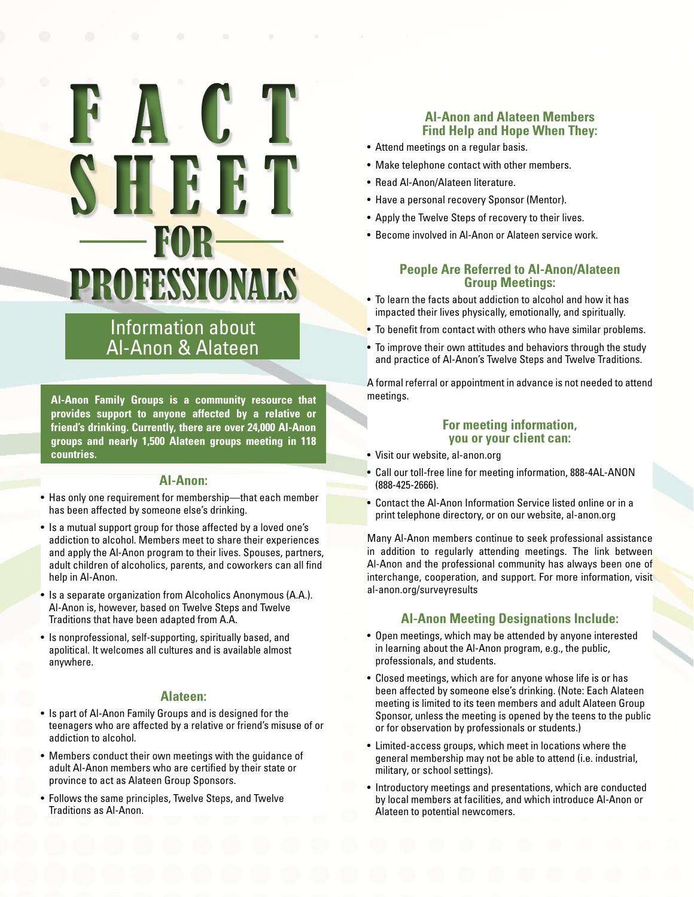# FACT **SHEET** FOR PROFESSIONALS

# Information about Al‑Anon & Alateen

**Al‑Anon Family Groups is a community resource that provides support to anyone affected by a relative or friend's drinking. Currently, there are over 24,000 Al‑Anon groups and nearly 1,500 Alateen groups meeting in 118 countries.** 

# **Al‑Anon:**

- Has only one requirement for membership—that each member has been affected by someone else's drinking.
- Is a mutual support group for those affected by a loved one's addiction to alcohol. Members meet to share their experiences and apply the Al-Anon program to their lives. Spouses, partners, adult children of alcoholics, parents, and coworkers can all find help in Al‑Anon.
- Is a separate organization from Alcoholics Anonymous (A.A.). Al‑Anon is, however, based on Twelve Steps and Twelve Traditions that have been adapted from A.A.
- Is nonprofessional, self-supporting, spiritually based, and apolitical. It welcomes all cultures and is available almost anywhere.

#### **Alateen:**

- Is part of Al‑Anon Family Groups and is designed for the teenagers who are affected by a relative or friend's misuse of or addiction to alcohol.
- Members conduct their own meetings with the guidance of adult Al‑Anon members who are certified by their state or province to act as Alateen Group Sponsors.
- Follows the same principles, Twelve Steps, and Twelve Traditions as Al‑Anon.

# **Al‑Anon and Alateen Members Find Help and Hope When They:**

- Attend meetings on a regular basis.
- Make telephone contact with other members.
- Read Al‑Anon/Alateen literature.
- Have a personal recovery Sponsor (Mentor).
- Apply the Twelve Steps of recovery to their lives.
- Become involved in Al-Anon or Alateen service work.

# **People Are Referred to Al‑Anon/Alateen Group Meetings:**

- To learn the facts about addiction to alcohol and how it has impacted their lives physically, emotionally, and spiritually.
- To benefit from contact with others who have similar problems.
- To improve their own attitudes and behaviors through the study and practice of Al‑Anon's Twelve Steps and Twelve Traditions.

A formal referral or appointment in advance is not needed to attend meetings.

### **For meeting information, you or your client can:**

- Visit our website, al-anon.org
- Call our toll-free line for meeting information, 888-4AL-ANON (888-425-2666).
- Contact the Al-Anon Information Service listed online or in a print telephone directory, or on our website, al-anon.org

Many Al‑Anon members continue to seek professional assistance in addition to regularly attending meetings. The link between Al-Anon and the professional community has always been one of interchange, cooperation, and support. For more information, visit al-anon.org/surveyresults

# **Al‑Anon Meeting Designations Include:**

- Open meetings, which may be attended by anyone interested in learning about the Al-Anon program, e.g., the public, professionals, and students.
- Closed meetings, which are for anyone whose life is or has been affected by someone else's drinking. (Note: Each Alateen meeting is limited to its teen members and adult Alateen Group Sponsor, unless the meeting is opened by the teens to the public or for observation by professionals or students.)
- Limited-access groups, which meet in locations where the general membership may not be able to attend (i.e. industrial, military, or school settings).
- Introductory meetings and presentations, which are conducted by local members at facilities, and which introduce Al‑Anon or Alateen to potential newcomers.